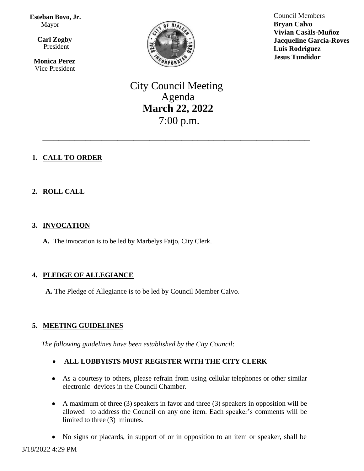**Esteban Bovo, Jr.**  Mayor

 $\overline{\mathbf{a}}$  **Carl Zogby** President

> **Monica Perez** Vice President



Council Members **Bryan Calvo Vivian Casàls-Muñoz Jacqueline Garcia-Roves Luis Rodriguez Jesus Tundidor**

City Council Meeting Agenda **March 22, 2022** 7:00 p.m.

\_\_\_\_\_\_\_\_\_\_\_\_\_\_\_\_\_\_\_\_\_\_\_\_\_\_\_\_\_\_\_\_\_\_\_\_\_\_\_\_\_\_\_\_\_\_\_\_\_\_

# **1. CALL TO ORDER**

# **2. ROLL CALL**

### **3. INVOCATION**

**A.** The invocation is to be led by Marbelys Fatjo, City Clerk.

# **4. PLEDGE OF ALLEGIANCE**

**A.** The Pledge of Allegiance is to be led by Council Member Calvo.

# **5. MEETING GUIDELINES**

*The following guidelines have been established by the City Council*:

- **ALL LOBBYISTS MUST REGISTER WITH THE CITY CLERK**
- As a courtesy to others, please refrain from using cellular telephones or other similar electronic devices in the Council Chamber.
- A maximum of three (3) speakers in favor and three (3) speakers in opposition will be allowed to address the Council on any one item. Each speaker's comments will be limited to three (3) minutes.
- No signs or placards, in support of or in opposition to an item or speaker, shall be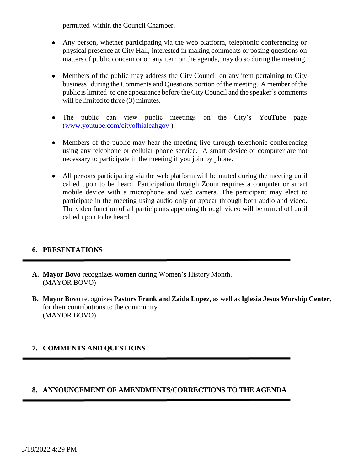permitted within the Council Chamber.

- Any person, whether participating via the web platform, telephonic conferencing or physical presence at City Hall, interested in making comments or posing questions on matters of public concern or on any item on the agenda, may do so during the meeting.
- Members of the public may address the City Council on any item pertaining to City business during the Comments and Questions portion of the meeting. A member of the public islimited to one appearance before the CityCouncil and the speaker's comments will be limited to three (3) minutes.
- The public can view public meetings on the City's YouTube page [\(www.youtube.com/cityofhialeahgov](http://www.youtube.com/cityofhialeahgov) ).
- Members of the public may hear the meeting live through telephonic conferencing using any telephone or cellular phone service. A smart device or computer are not necessary to participate in the meeting if you join by phone.
- All persons participating via the web platform will be muted during the meeting until called upon to be heard. Participation through Zoom requires a computer or smart mobile device with a microphone and web camera. The participant may elect to participate in the meeting using audio only or appear through both audio and video. The video function of all participants appearing through video will be turned off until called upon to be heard.

# **6. PRESENTATIONS**

- **A. Mayor Bovo** recognizes **women** during Women's History Month. (MAYOR BOVO)
- **B. Mayor Bovo** recognizes **Pastors Frank and Zaida Lopez,** as well as **Iglesia Jesus Worship Center**, for their contributions to the community. (MAYOR BOVO)

### **7. COMMENTS AND QUESTIONS**

### **8. ANNOUNCEMENT OF AMENDMENTS/CORRECTIONS TO THE AGENDA**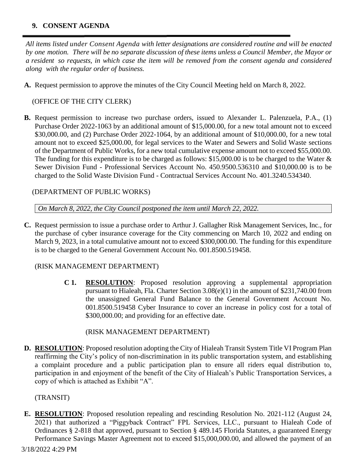### **9. CONSENT AGENDA**

*All items listed under Consent Agenda with letter designations are considered routine and will be enacted* by one motion. There will be no separate discussion of these items unless a Council Member, the Mayor or a resident so requests, in which case the item will be removed from the consent agenda and considered *along with the regular order of business.*

**A.** Request permission to approve the minutes of the City Council Meeting held on March 8, 2022.

### (OFFICE OF THE CITY CLERK)

**B.** Request permission to increase two purchase orders, issued to Alexander L. Palenzuela, P.A., (1) Purchase Order 2022-1063 by an additional amount of \$15,000.00, for a new total amount not to exceed \$30,000.00, and (2) Purchase Order 2022-1064, by an additional amount of \$10,000.00, for a new total amount not to exceed \$25,000.00, for legal services to the Water and Sewers and Solid Waste sections of the Department of Public Works, for a new total cumulative expense amount not to exceed \$55,000.00. The funding for this expenditure is to be charged as follows: \$15,000.00 is to be charged to the Water & Sewer Division Fund - Professional Services Account No. 450.9500.536310 and \$10,000.00 is to be charged to the Solid Waste Division Fund - Contractual Services Account No. 401.3240.534340.

### (DEPARTMENT OF PUBLIC WORKS)

*On March 8, 2022, the City Council postponed the item until March 22, 2022.* 

**C.** Request permission to issue a purchase order to Arthur J. Gallagher Risk Management Services, Inc., for the purchase of cyber insurance coverage for the City commencing on March 10, 2022 and ending on March 9, 2023, in a total cumulative amount not to exceed \$300,000.00. The funding for this expenditure is to be charged to the General Government Account No. 001.8500.519458.

### (RISK MANAGEMENT DEPARTMENT)

**C 1. RESOLUTION**: Proposed resolution approving a supplemental appropriation pursuant to Hialeah, Fla. Charter Section 3.08(e)(1) in the amount of \$231,740.00 from the unassigned General Fund Balance to the General Government Account No. 001.8500.519458 Cyber Insurance to cover an increase in policy cost for a total of \$300,000.00; and providing for an effective date.

### (RISK MANAGEMENT DEPARTMENT)

**D. RESOLUTION**: Proposed resolution adopting the City of Hialeah Transit System Title VI Program Plan reaffirming the City's policy of non-discrimination in its public transportation system, and establishing a complaint procedure and a public participation plan to ensure all riders equal distribution to, participation in and enjoyment of the benefit of the City of Hialeah's Public Transportation Services, a copy of which is attached as Exhibit "A".

### (TRANSIT)

**E. RESOLUTION**: Proposed resolution repealing and rescinding Resolution No. 2021-112 (August 24, 2021) that authorized a "Piggyback Contract" FPL Services, LLC., pursuant to Hialeah Code of Ordinances § 2-818 that approved, pursuant to Section § 489.145 Florida Statutes, a guaranteed Energy Performance Savings Master Agreement not to exceed \$15,000,000.00, and allowed the payment of an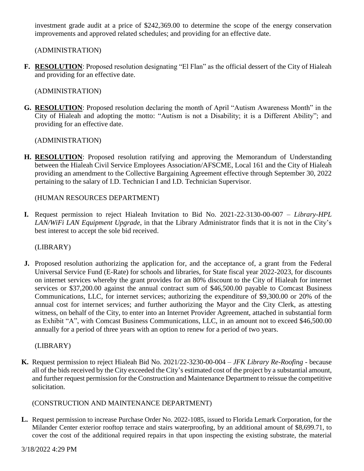investment grade audit at a price of \$242,369.00 to determine the scope of the energy conservation improvements and approved related schedules; and providing for an effective date.

(ADMINISTRATION)

**F. RESOLUTION**: Proposed resolution designating "El Flan" as the official dessert of the City of Hialeah and providing for an effective date.

(ADMINISTRATION)

**G. RESOLUTION**: Proposed resolution declaring the month of April "Autism Awareness Month" in the City of Hialeah and adopting the motto: "Autism is not a Disability; it is a Different Ability"; and providing for an effective date.

(ADMINISTRATION)

**H. RESOLUTION**: Proposed resolution ratifying and approving the Memorandum of Understanding between the Hialeah Civil Service Employees Association/AFSCME, Local 161 and the City of Hialeah providing an amendment to the Collective Bargaining Agreement effective through September 30, 2022 pertaining to the salary of I.D. Technician I and I.D. Technician Supervisor.

(HUMAN RESOURCES DEPARTMENT)

**I.** Request permission to reject Hialeah Invitation to Bid No. 2021-22-3130-00-007 – *Library-HPL LAN/WiFi LAN Equipment Upgrade*, in that the Library Administrator finds that it is not in the City's best interest to accept the sole bid received.

(LIBRARY)

**J.** Proposed resolution authorizing the application for, and the acceptance of, a grant from the Federal Universal Service Fund (E-Rate) for schools and libraries, for State fiscal year 2022-2023, for discounts on internet services whereby the grant provides for an 80% discount to the City of Hialeah for internet services or \$37,200.00 against the annual contract sum of \$46,500.00 payable to Comcast Business Communications, LLC, for internet services; authorizing the expenditure of \$9,300.00 or 20% of the annual cost for internet services; and further authorizing the Mayor and the City Clerk, as attesting witness, on behalf of the City, to enter into an Internet Provider Agreement, attached in substantial form as Exhibit "A", with Comcast Business Communications, LLC, in an amount not to exceed \$46,500.00 annually for a period of three years with an option to renew for a period of two years.

(LIBRARY)

**K.** Request permission to reject Hialeah Bid No. 2021/22-3230-00-004 – *JFK Library Re-Roofing -* because all of the bids received by the City exceeded the City's estimated cost of the project by a substantial amount, and further request permission for the Construction and Maintenance Department to reissue the competitive solicitation.

### (CONSTRUCTION AND MAINTENANCE DEPARTMENT)

**L.** Request permission to increase Purchase Order No. 2022-1085, issued to Florida Lemark Corporation, for the Milander Center exterior rooftop terrace and stairs waterproofing, by an additional amount of \$8,699.71, to cover the cost of the additional required repairs in that upon inspecting the existing substrate, the material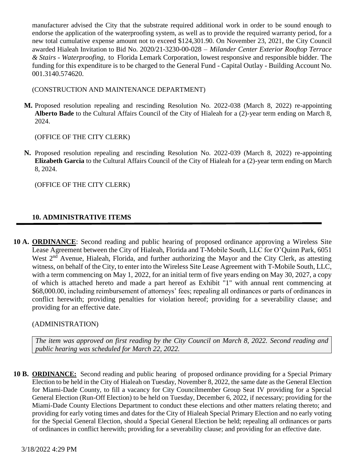manufacturer advised the City that the substrate required additional work in order to be sound enough to endorse the application of the waterproofing system, as well as to provide the required warranty period, for a new total cumulative expense amount not to exceed \$124,301.90. On November 23, 2021, the City Council awarded Hialeah Invitation to Bid No. 2020/21-3230-00-028 – *Milander Center Exterior Rooftop Terrace & Stairs - Waterproofing,* to Florida Lemark Corporation, lowest responsive and responsible bidder. The funding for this expenditure is to be charged to the General Fund - Capital Outlay - Building Account No. 001.3140.574620.

(CONSTRUCTION AND MAINTENANCE DEPARTMENT)

**M.** Proposed resolution repealing and rescinding Resolution No. 2022-038 (March 8, 2022) re-appointing **Alberto Bade** to the Cultural Affairs Council of the City of Hialeah for a (2)-year term ending on March 8, 2024.

(OFFICE OF THE CITY CLERK)

**N.** Proposed resolution repealing and rescinding Resolution No. 2022-039 (March 8, 2022) re-appointing **Elizabeth Garcia** to the Cultural Affairs Council of the City of Hialeah for a (2)-year term ending on March 8, 2024.

(OFFICE OF THE CITY CLERK)

# **10. ADMINISTRATIVE ITEMS**

**10 A. ORDINANCE**: Second reading and public hearing of proposed ordinance approving a Wireless Site Lease Agreement between the City of Hialeah, Florida and T-Mobile South, LLC for O'Quinn Park, 6051 West 2<sup>nd</sup> Avenue, Hialeah, Florida, and further authorizing the Mayor and the City Clerk, as attesting witness, on behalf of the City, to enter into the Wireless Site Lease Agreement with T-Mobile South, LLC, with a term commencing on May 1, 2022, for an initial term of five years ending on May 30, 2027, a copy of which is attached hereto and made a part hereof as Exhibit "1" with annual rent commencing at \$68,000.00, including reimbursement of attorneys' fees; repealing all ordinances or parts of ordinances in conflict herewith; providing penalties for violation hereof; providing for a severability clause; and providing for an effective date.

### (ADMINISTRATION)

*The item was approved on first reading by the City Council on March 8, 2022. Second reading and public hearing was scheduled for March 22, 2022.* 

**10 B. ORDINANCE:** Second reading and public hearing of proposed ordinance providing for a Special Primary Election to be held in the City of Hialeah on Tuesday, November 8, 2022, the same date as the General Election for Miami-Dade County, to fill a vacancy for City Councilmember Group Seat IV providing for a Special General Election (Run-Off Election) to be held on Tuesday, December 6, 2022, if necessary; providing for the Miami-Dade County Elections Department to conduct these elections and other matters relating thereto; and providing for early voting times and dates for the City of Hialeah Special Primary Election and no early voting for the Special General Election, should a Special General Election be held; repealing all ordinances or parts of ordinances in conflict herewith; providing for a severability clause; and providing for an effective date.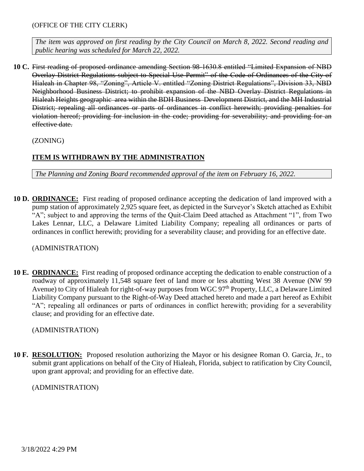*The item was approved on first reading by the City Council on March 8, 2022. Second reading and public hearing was scheduled for March 22, 2022.* 

**10 C.** First reading of proposed ordinance amending Section 98-1630.8 entitled "Limited Expansion of NBD Overlay District Regulations subject to Special Use Permit" of the Code of Ordinances of the City of Hialeah in Chapter 98, "Zoning", Article V. entitled "Zoning District Regulations", Division 33, NBD Neighborhood Business District; to prohibit expansion of the NBD Overlay District Regulations in Hialeah Heights geographic area within the BDH Business Development District, and the MH Industrial District; repealing all ordinances or parts of ordinances in conflict herewith; providing penalties for violation hereof; providing for inclusion in the code; providing for severability; and providing for an effective date.

(ZONING)

### **ITEM IS WITHDRAWN BY THE ADMINISTRATION**

*The Planning and Zoning Board recommended approval of the item on February 16, 2022.*

**10 D. ORDINANCE:** First reading of proposed ordinance accepting the dedication of land improved with a pump station of approximately 2,925 square feet, as depicted in the Surveyor's Sketch attached as Exhibit "A"; subject to and approving the terms of the Quit-Claim Deed attached as Attachment "1", from Two Lakes Lennar, LLC, a Delaware Limited Liability Company; repealing all ordinances or parts of ordinances in conflict herewith; providing for a severability clause; and providing for an effective date.

(ADMINISTRATION)

**10 E. ORDINANCE:** First reading of proposed ordinance accepting the dedication to enable construction of a roadway of approximately 11,548 square feet of land more or less abutting West 38 Avenue (NW 99 Avenue) to City of Hialeah for right-of-way purposes from WGC 97<sup>th</sup> Property, LLC, a Delaware Limited Liability Company pursuant to the Right-of-Way Deed attached hereto and made a part hereof as Exhibit "A"; repealing all ordinances or parts of ordinances in conflict herewith; providing for a severability clause; and providing for an effective date.

#### (ADMINISTRATION)

**10 F. RESOLUTION:** Proposed resolution authorizing the Mayor or his designee Roman O. Garcia, Jr., to submit grant applications on behalf of the City of Hialeah, Florida, subject to ratification by City Council, upon grant approval; and providing for an effective date.

(ADMINISTRATION)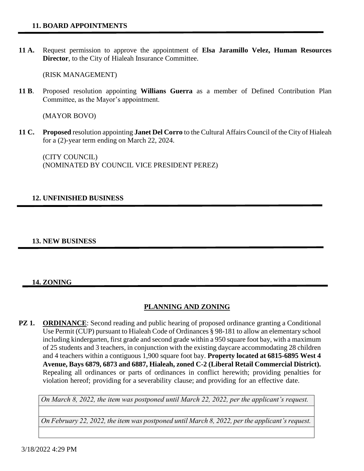**11 A.** Request permission to approve the appointment of **Elsa Jaramillo Velez, Human Resources Director**, to the City of Hialeah Insurance Committee.

(RISK MANAGEMENT)

**11 B**. Proposed resolution appointing **Willians Guerra** as a member of Defined Contribution Plan Committee, as the Mayor's appointment.

(MAYOR BOVO)

**11 C. Proposed** resolution appointing **Janet Del Corro** to the Cultural Affairs Council of the City of Hialeah for a (2)-year term ending on March 22, 2024.

(CITY COUNCIL) (NOMINATED BY COUNCIL VICE PRESIDENT PEREZ)

### **12. UNFINISHED BUSINESS**

#### **13. NEW BUSINESS**

### **14. ZONING**

# **PLANNING AND ZONING**

**PZ 1. ORDINANCE**: Second reading and public hearing of proposed ordinance granting a Conditional Use Permit (CUP) pursuant to Hialeah Code of Ordinances § 98-181 to allow an elementary school including kindergarten, first grade and second grade within a 950 square foot bay, with a maximum of 25 students and 3 teachers, in conjunction with the existing daycare accommodating 28 children and 4 teachers within a contiguous 1,900 square foot bay. **Property located at 6815-6895 West 4 Avenue, Bays 6879, 6873 and 6887, Hialeah, zoned C-2 (Liberal Retail Commercial District).** Repealing all ordinances or parts of ordinances in conflict herewith; providing penalties for violation hereof; providing for a severability clause; and providing for an effective date.

*On March 8, 2022, the item was postponed until March 22, 2022, per the applicant's request.* 

*On February 22, 2022, the item was postponed until March 8, 2022, per the applicant's request.*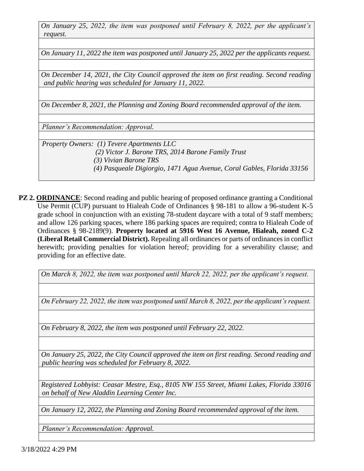*On January 25, 2022, the item was postponed until February 8, 2022, per the applicant's request.*

*On January 11, 2022 the item was postponed until January 25, 2022 per the applicants request.*

*On December 14, 2021, the City Council approved the item on first reading. Second reading and public hearing was scheduled for January 11, 2022.*

*On December 8, 2021, the Planning and Zoning Board recommended approval of the item.*

*Planner's Recommendation: Approval.*

*Property Owners: (1) Tevere Apartments LLC (2) Victor J. Barone TRS, 2014 Barone Family Trust (3) Vivian Barone TRS (4) Pasqueale Digiorgio, 1471 Agua Avenue, Coral Gables, Florida 33156*

**PZ 2. ORDINANCE**: Second reading and public hearing of proposed ordinance granting a Conditional Use Permit (CUP) pursuant to Hialeah Code of Ordinances § 98-181 to allow a 96-student K-5 grade school in conjunction with an existing 78-student daycare with a total of 9 staff members; and allow 126 parking spaces, where 186 parking spaces are required; contra to Hialeah Code of Ordinances § 98-2189(9). **Property located at 5916 West 16 Avenue, Hialeah, zoned C-2 (Liberal Retail Commercial District).** Repealing all ordinances or parts of ordinances in conflict herewith; providing penalties for violation hereof; providing for a severability clause; and providing for an effective date.

*On March 8, 2022, the item was postponed until March 22, 2022, per the applicant's request.* 

*On February 22, 2022, the item was postponed until March 8, 2022, per the applicant's request.*

*On February 8, 2022, the item was postponed until February 22, 2022.* 

*On January 25, 2022, the City Council approved the item on first reading. Second reading and public hearing was scheduled for February 8, 2022.*

*Registered Lobbyist: Ceasar Mestre, Esq., 8105 NW 155 Street, Miami Lakes, Florida 33016 on behalf of New Aladdin Learning Center Inc.* 

*On January 12, 2022, the Planning and Zoning Board recommended approval of the item.*

*Planner's Recommendation: Approval.*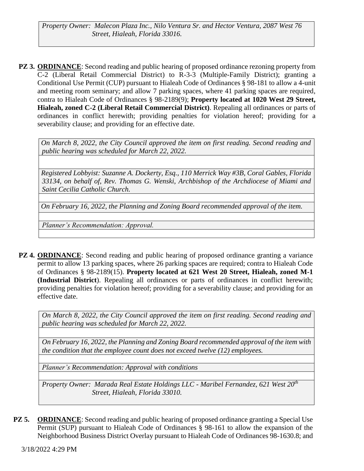*Property Owner: Malecon Plaza Inc., Nilo Ventura Sr. and Hector Ventura, 2087 West 76 Street, Hialeah, Florida 33016.*

**PZ 3. ORDINANCE:** Second reading and public hearing of proposed ordinance rezoning property from C-2 (Liberal Retail Commercial District) to R-3-3 (Multiple-Family District); granting a Conditional Use Permit (CUP) pursuant to Hialeah Code of Ordinances § 98-181 to allow a 4-unit and meeting room seminary; and allow 7 parking spaces, where 41 parking spaces are required, contra to Hialeah Code of Ordinances § 98-2189(9); **Property located at 1020 West 29 Street, Hialeah, zoned C-2 (Liberal Retail Commercial District)**. Repealing all ordinances or parts of ordinances in conflict herewith; providing penalties for violation hereof; providing for a severability clause; and providing for an effective date.

*On March 8, 2022, the City Council approved the item on first reading. Second reading and public hearing was scheduled for March 22, 2022.*

*Registered Lobbyist: Suzanne A. Dockerty, Esq., 110 Merrick Way #3B, Coral Gables, Florida 33134, on behalf of, Rev. Thomas G. Wenski, Archbishop of the Archdiocese of Miami and Saint Cecilia Catholic Church.*

*On February 16, 2022, the Planning and Zoning Board recommended approval of the item.*

*Planner's Recommendation: Approval.*

**PZ 4. ORDINANCE**: Second reading and public hearing of proposed ordinance granting a variance permit to allow 13 parking spaces, where 26 parking spaces are required; contra to Hialeah Code of Ordinances § 98-2189(15). **Property located at 621 West 20 Street, Hialeah, zoned M-1 (Industrial District**). Repealing all ordinances or parts of ordinances in conflict herewith; providing penalties for violation hereof; providing for a severability clause; and providing for an effective date.

*On March 8, 2022, the City Council approved the item on first reading. Second reading and public hearing was scheduled for March 22, 2022.*

*On February 16, 2022, the Planning and Zoning Board recommended approval of the item with the condition that the employee count does not exceed twelve (12) employees.*

*Planner's Recommendation: Approval with conditions*

*Property Owner: Marada Real Estate Holdings LLC - Maribel Fernandez, 621 West 20th Street, Hialeah, Florida 33010.*

**PZ 5. ORDINANCE**: Second reading and public hearing of proposed ordinance granting a Special Use Permit (SUP) pursuant to Hialeah Code of Ordinances § 98-161 to allow the expansion of the Neighborhood Business District Overlay pursuant to Hialeah Code of Ordinances 98-1630.8; and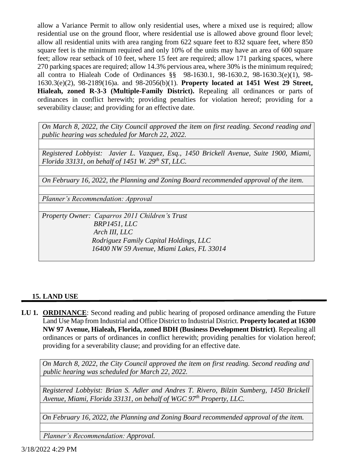allow a Variance Permit to allow only residential uses, where a mixed use is required; allow residential use on the ground floor, where residential use is allowed above ground floor level; allow all residential units with area ranging from 622 square feet to 832 square feet, where 850 square feet is the minimum required and only 10% of the units may have an area of 600 square feet; allow rear setback of 10 feet, where 15 feet are required; allow 171 parking spaces, where 270 parking spaces are required; allow 14.3% pervious area, where 30% is the minimum required; all contra to Hialeah Code of Ordinances §§ 98-1630.1, 98-1630.2, 98-1630.3(e)(1), 98- 1630.3(e)(2), 98-2189(16)a. and 98-2056(b)(1). **Property located at 1451 West 29 Street, Hialeah, zoned R-3-3 (Multiple-Family District).** Repealing all ordinances or parts of ordinances in conflict herewith; providing penalties for violation hereof; providing for a severability clause; and providing for an effective date.

*On March 8, 2022, the City Council approved the item on first reading. Second reading and public hearing was scheduled for March 22, 2022.*

*Registered Lobbyist: Javier L. Vazquez, Esq., 1450 Brickell Avenue, Suite 1900, Miami, Florida 33131, on behalf of 1451 W. 29th ST, LLC.* 

*On February 16, 2022, the Planning and Zoning Board recommended approval of the item.*

*Planner's Recommendation: Approval*

*Property Owner: Caparros 2011 Children's Trust BRP1451, LLC Arch III, LLC Rodriguez Family Capital Holdings, LLC 16400 NW 59 Avenue, Miami Lakes, FL 33014*

### **15. LAND USE**

**LU 1. ORDINANCE**: Second reading and public hearing of proposed ordinance amending the Future Land Use Map from Industrial and Office District to Industrial District. **Property located at 16300 NW 97 Avenue, Hialeah, Florida, zoned BDH (Business Development District)**. Repealing all ordinances or parts of ordinances in conflict herewith; providing penalties for violation hereof; providing for a severability clause; and providing for an effective date.

*On March 8, 2022, the City Council approved the item on first reading. Second reading and public hearing was scheduled for March 22, 2022.*

*Registered Lobbyist: Brian S. Adler and Andres T. Rivero, Bilzin Sumberg, 1450 Brickell Avenue, Miami, Florida 33131, on behalf of WGC 97th Property, LLC.*

*On February 16, 2022, the Planning and Zoning Board recommended approval of the item.*

*Planner's Recommendation: Approval.*